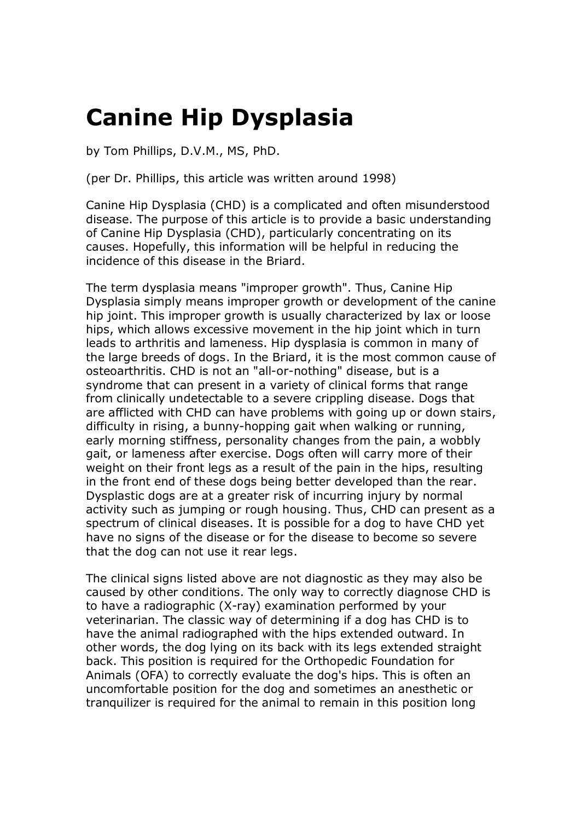## **Canine Hip Dysplasia**

by Tom Phillips, D.V.M., MS, PhD.

(per Dr. Phillips, this article was written around 1998)

Canine Hip Dysplasia (CHD) is a complicated and often misunderstood disease. The purpose of this article is to provide a basic understanding of Canine Hip Dysplasia (CHD), particularly concentrating on its causes. Hopefully, this information will be helpful in reducing the incidence of this disease in the Briard.

The term dysplasia means "improper growth". Thus, Canine Hip Dysplasia simply means improper growth or development of the canine hip joint. This improper growth is usually characterized by lax or loose hips, which allows excessive movement in the hip joint which in turn leads to arthritis and lameness. Hip dysplasia is common in many of the large breeds of dogs. In the Briard, it is the most common cause of osteoarthritis. CHD is not an "all-or-nothing" disease, but is a syndrome that can present in a variety of clinical forms that range from clinically undetectable to a severe crippling disease. Dogs that are afflicted with CHD can have problems with going up or down stairs, difficulty in rising, a bunny-hopping gait when walking or running, early morning stiffness, personality changes from the pain, a wobbly gait, or lameness after exercise. Dogs often will carry more of their weight on their front legs as a result of the pain in the hips, resulting in the front end of these dogs being better developed than the rear. Dysplastic dogs are at a greater risk of incurring injury by normal activity such as jumping or rough housing. Thus, CHD can present as a spectrum of clinical diseases. It is possible for a dog to have CHD yet have no signs of the disease or for the disease to become so severe that the dog can not use it rear legs.

The clinical signs listed above are not diagnostic as they may also be caused by other conditions. The only way to correctly diagnose CHD is to have a radiographic (X-ray) examination performed by your veterinarian. The classic way of determining if a dog has CHD is to have the animal radiographed with the hips extended outward. In other words, the dog lying on its back with its legs extended straight back. This position is required for the Orthopedic Foundation for Animals (OFA) to correctly evaluate the dog's hips. This is often an uncomfortable position for the dog and sometimes an anesthetic or tranquilizer is required for the animal to remain in this position long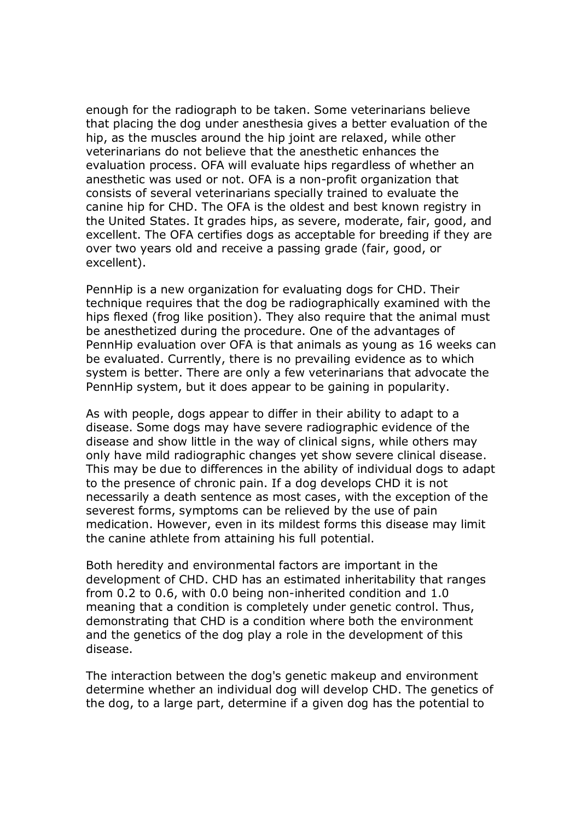enough for the radiograph to be taken. Some veterinarians believe that placing the dog under anesthesia gives a better evaluation of the hip, as the muscles around the hip joint are relaxed, while other veterinarians do not believe that the anesthetic enhances the evaluation process. OFA will evaluate hips regardless of whether an anesthetic was used or not. OFA is a non-profit organization that consists of several veterinarians specially trained to evaluate the canine hip for CHD. The OFA is the oldest and best known registry in the United States. It grades hips, as severe, moderate, fair, good, and excellent. The OFA certifies dogs as acceptable for breeding if they are over two years old and receive a passing grade (fair, good, or excellent).

PennHip is a new organization for evaluating dogs for CHD. Their technique requires that the dog be radiographically examined with the hips flexed (frog like position). They also require that the animal must be anesthetized during the procedure. One of the advantages of PennHip evaluation over OFA is that animals as young as 16 weeks can be evaluated. Currently, there is no prevailing evidence as to which system is better. There are only a few veterinarians that advocate the PennHip system, but it does appear to be gaining in popularity.

As with people, dogs appear to differ in their ability to adapt to a disease. Some dogs may have severe radiographic evidence of the disease and show little in the way of clinical signs, while others may only have mild radiographic changes yet show severe clinical disease. This may be due to differences in the ability of individual dogs to adapt to the presence of chronic pain. If a dog develops CHD it is not necessarily a death sentence as most cases, with the exception of the severest forms, symptoms can be relieved by the use of pain medication. However, even in its mildest forms this disease may limit the canine athlete from attaining his full potential.

Both heredity and environmental factors are important in the development of CHD. CHD has an estimated inheritability that ranges from 0.2 to 0.6, with 0.0 being non-inherited condition and 1.0 meaning that a condition is completely under genetic control. Thus, demonstrating that CHD is a condition where both the environment and the genetics of the dog play a role in the development of this disease.

The interaction between the dog's genetic makeup and environment determine whether an individual dog will develop CHD. The genetics of the dog, to a large part, determine if a given dog has the potential to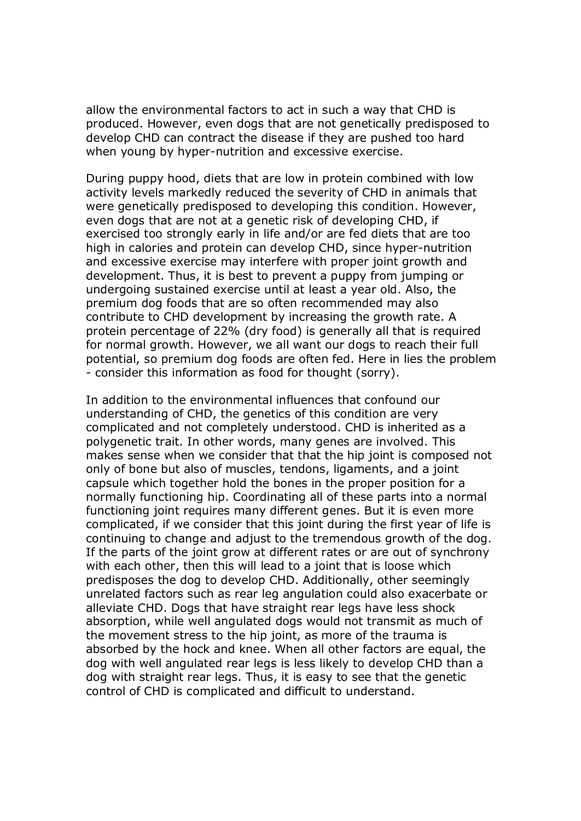allow the environmental factors to act in such a way that CHD is produced. However, even dogs that are not genetically predisposed to develop CHD can contract the disease if they are pushed too hard when young by hyper-nutrition and excessive exercise.

During puppy hood, diets that are low in protein combined with low activity levels markedly reduced the severity of CHD in animals that were genetically predisposed to developing this condition. However, even dogs that are not at a genetic risk of developing CHD, if exercised too strongly early in life and/or are fed diets that are too high in calories and protein can develop CHD, since hyper-nutrition and excessive exercise may interfere with proper joint growth and development. Thus, it is best to prevent a puppy from jumping or undergoing sustained exercise until at least a year old. Also, the premium dog foods that are so often recommended may also contribute to CHD development by increasing the growth rate. A protein percentage of 22% (dry food) is generally all that is required for normal growth. However, we all want our dogs to reach their full potential, so premium dog foods are often fed. Here in lies the problem - consider this information as food for thought (sorry).

In addition to the environmental influences that confound our understanding of CHD, the genetics of this condition are very complicated and not completely understood. CHD is inherited as a polygenetic trait. In other words, many genes are involved. This makes sense when we consider that that the hip joint is composed not only of bone but also of muscles, tendons, ligaments, and a joint capsule which together hold the bones in the proper position for a normally functioning hip. Coordinating all of these parts into a normal functioning joint requires many different genes. But it is even more complicated, if we consider that this joint during the first year of life is continuing to change and adjust to the tremendous growth of the dog. If the parts of the joint grow at different rates or are out of synchrony with each other, then this will lead to a joint that is loose which predisposes the dog to develop CHD. Additionally, other seemingly unrelated factors such as rear leg angulation could also exacerbate or alleviate CHD. Dogs that have straight rear legs have less shock absorption, while well angulated dogs would not transmit as much of the movement stress to the hip joint, as more of the trauma is absorbed by the hock and knee. When all other factors are equal, the dog with well angulated rear legs is less likely to develop CHD than a dog with straight rear legs. Thus, it is easy to see that the genetic control of CHD is complicated and difficult to understand.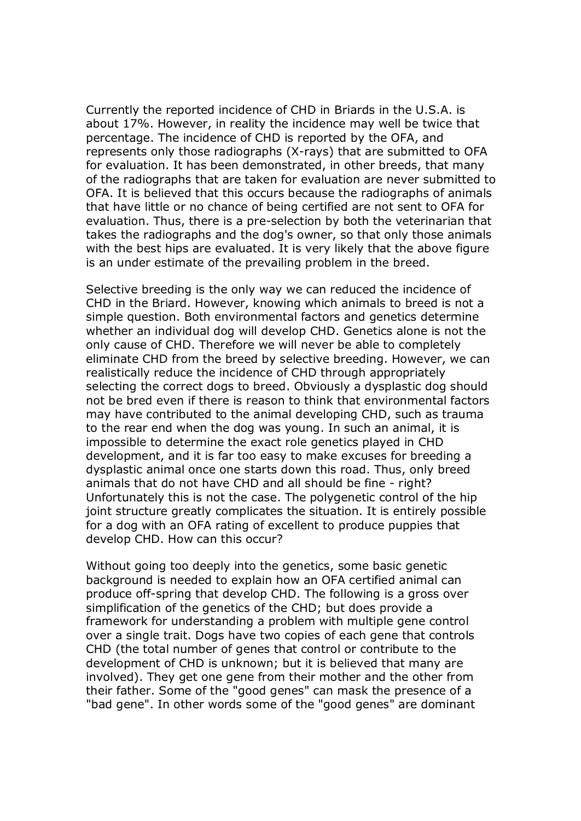Currently the reported incidence of CHD in Briards in the U.S.A. is about 17%. However, in reality the incidence may well be twice that percentage. The incidence of CHD is reported by the OFA, and represents only those radiographs (X-rays) that are submitted to OFA for evaluation. It has been demonstrated, in other breeds, that many of the radiographs that are taken for evaluation are never submitted to OFA. It is believed that this occurs because the radiographs of animals that have little or no chance of being certified are not sent to OFA for evaluation. Thus, there is a pre-selection by both the veterinarian that takes the radiographs and the dog's owner, so that only those animals with the best hips are evaluated. It is very likely that the above figure is an under estimate of the prevailing problem in the breed.

Selective breeding is the only way we can reduced the incidence of CHD in the Briard. However, knowing which animals to breed is not a simple question. Both environmental factors and genetics determine whether an individual dog will develop CHD. Genetics alone is not the only cause of CHD. Therefore we will never be able to completely eliminate CHD from the breed by selective breeding. However, we can realistically reduce the incidence of CHD through appropriately selecting the correct dogs to breed. Obviously a dysplastic dog should not be bred even if there is reason to think that environmental factors may have contributed to the animal developing CHD, such as trauma to the rear end when the dog was young. In such an animal, it is impossible to determine the exact role genetics played in CHD development, and it is far too easy to make excuses for breeding a dysplastic animal once one starts down this road. Thus, only breed animals that do not have CHD and all should be fine - right? Unfortunately this is not the case. The polygenetic control of the hip joint structure greatly complicates the situation. It is entirely possible for a dog with an OFA rating of excellent to produce puppies that develop CHD. How can this occur?

Without going too deeply into the genetics, some basic genetic background is needed to explain how an OFA certified animal can produce off-spring that develop CHD. The following is a gross over simplification of the genetics of the CHD; but does provide a framework for understanding a problem with multiple gene control over a single trait. Dogs have two copies of each gene that controls CHD (the total number of genes that control or contribute to the development of CHD is unknown; but it is believed that many are involved). They get one gene from their mother and the other from their father. Some of the "good genes" can mask the presence of a "bad gene". In other words some of the "good genes" are dominant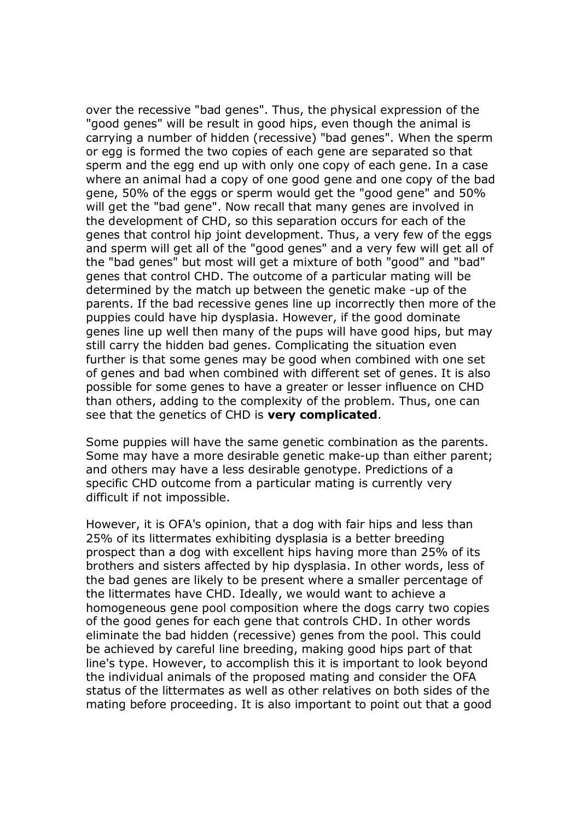over the recessive "bad genes". Thus, the physical expression of the "good genes" will be result in good hips, even though the animal is carrying a number of hidden (recessive) "bad genes". When the sperm or egg is formed the two copies of each gene are separated so that sperm and the egg end up with only one copy of each gene. In a case where an animal had a copy of one good gene and one copy of the bad gene, 50% of the eggs or sperm would get the "good gene" and 50% will get the "bad gene". Now recall that many genes are involved in the development of CHD, so this separation occurs for each of the genes that control hip joint development. Thus, a very few of the eggs and sperm will get all of the "good genes" and a very few will get all of the "bad genes" but most will get a mixture of both "good" and "bad" genes that control CHD. The outcome of a particular mating will be determined by the match up between the genetic make -up of the parents. If the bad recessive genes line up incorrectly then more of the puppies could have hip dysplasia. However, if the good dominate genes line up well then many of the pups will have good hips, but may still carry the hidden bad genes. Complicating the situation even further is that some genes may be good when combined with one set of genes and bad when combined with different set of genes. It is also possible for some genes to have a greater or lesser influence on CHD than others, adding to the complexity of the problem. Thus, one can see that the genetics of CHD is **very complicated**.

Some puppies will have the same genetic combination as the parents. Some may have a more desirable genetic make-up than either parent; and others may have a less desirable genotype. Predictions of a specific CHD outcome from a particular mating is currently very difficult if not impossible.

However, it is OFA's opinion, that a dog with fair hips and less than 25% of its littermates exhibiting dysplasia is a better breeding prospect than a dog with excellent hips having more than 25% of its brothers and sisters affected by hip dysplasia. In other words, less of the bad genes are likely to be present where a smaller percentage of the littermates have CHD. Ideally, we would want to achieve a homogeneous gene pool composition where the dogs carry two copies of the good genes for each gene that controls CHD. In other words eliminate the bad hidden (recessive) genes from the pool. This could be achieved by careful line breeding, making good hips part of that line's type. However, to accomplish this it is important to look beyond the individual animals of the proposed mating and consider the OFA status of the littermates as well as other relatives on both sides of the mating before proceeding. It is also important to point out that a good